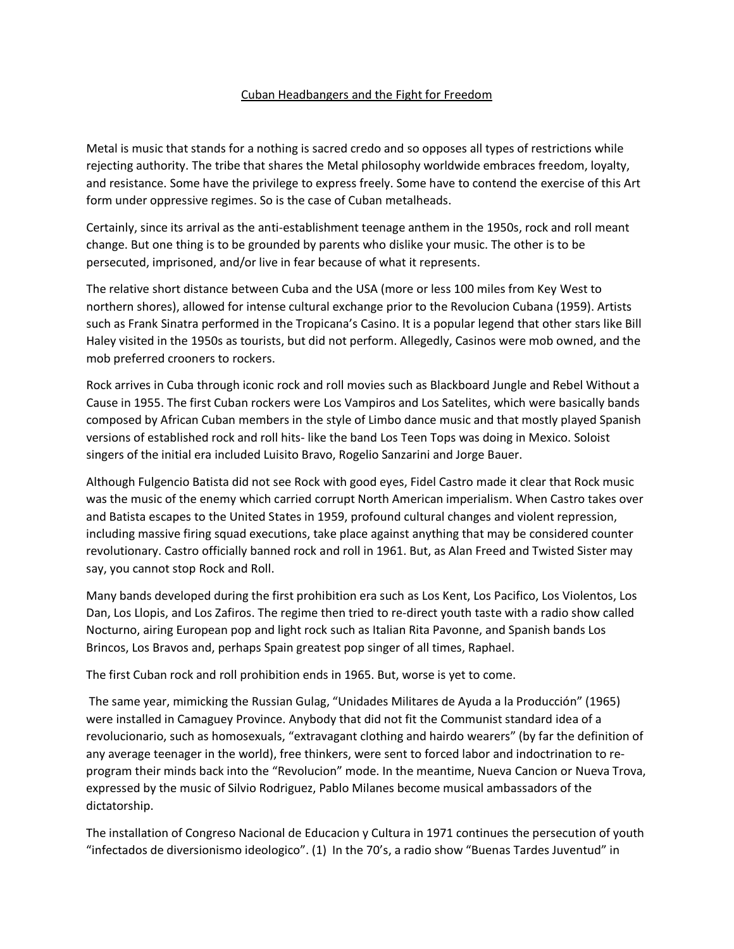## Cuban Headbangers and the Fight for Freedom

Metal is music that stands for a nothing is sacred credo and so opposes all types of restrictions while rejecting authority. The tribe that shares the Metal philosophy worldwide embraces freedom, loyalty, and resistance. Some have the privilege to express freely. Some have to contend the exercise of this Art form under oppressive regimes. So is the case of Cuban metalheads.

Certainly, since its arrival as the anti-establishment teenage anthem in the 1950s, rock and roll meant change. But one thing is to be grounded by parents who dislike your music. The other is to be persecuted, imprisoned, and/or live in fear because of what it represents.

The relative short distance between Cuba and the USA (more or less 100 miles from Key West to northern shores), allowed for intense cultural exchange prior to the Revolucion Cubana (1959). Artists such as Frank Sinatra performed in the Tropicana's Casino. It is a popular legend that other stars like Bill Haley visited in the 1950s as tourists, but did not perform. Allegedly, Casinos were mob owned, and the mob preferred crooners to rockers.

Rock arrives in Cuba through iconic rock and roll movies such as Blackboard Jungle and Rebel Without a Cause in 1955. The first Cuban rockers were Los Vampiros and Los Satelites, which were basically bands composed by African Cuban members in the style of Limbo dance music and that mostly played Spanish versions of established rock and roll hits- like the band Los Teen Tops was doing in Mexico. Soloist singers of the initial era included Luisito Bravo, Rogelio Sanzarini and Jorge Bauer.

Although Fulgencio Batista did not see Rock with good eyes, Fidel Castro made it clear that Rock music was the music of the enemy which carried corrupt North American imperialism. When Castro takes over and Batista escapes to the United States in 1959, profound cultural changes and violent repression, including massive firing squad executions, take place against anything that may be considered counter revolutionary. Castro officially banned rock and roll in 1961. But, as Alan Freed and Twisted Sister may say, you cannot stop Rock and Roll.

Many bands developed during the first prohibition era such as Los Kent, Los Pacifico, Los Violentos, Los Dan, Los Llopis, and Los Zafiros. The regime then tried to re-direct youth taste with a radio show called Nocturno, airing European pop and light rock such as Italian Rita Pavonne, and Spanish bands Los Brincos, Los Bravos and, perhaps Spain greatest pop singer of all times, Raphael.

The first Cuban rock and roll prohibition ends in 1965. But, worse is yet to come.

The same year, mimicking the Russian Gulag, "Unidades Militares de Ayuda a la Producción" (1965) were installed in Camaguey Province. Anybody that did not fit the Communist standard idea of a revolucionario, such as homosexuals, "extravagant clothing and hairdo wearers" (by far the definition of any average teenager in the world), free thinkers, were sent to forced labor and indoctrination to reprogram their minds back into the "Revolucion" mode. In the meantime, Nueva Cancion or Nueva Trova, expressed by the music of Silvio Rodriguez, Pablo Milanes become musical ambassadors of the dictatorship.

The installation of Congreso Nacional de Educacion y Cultura in 1971 continues the persecution of youth "infectados de diversionismo ideologico". (1) In the 70's, a radio show "Buenas Tardes Juventud" in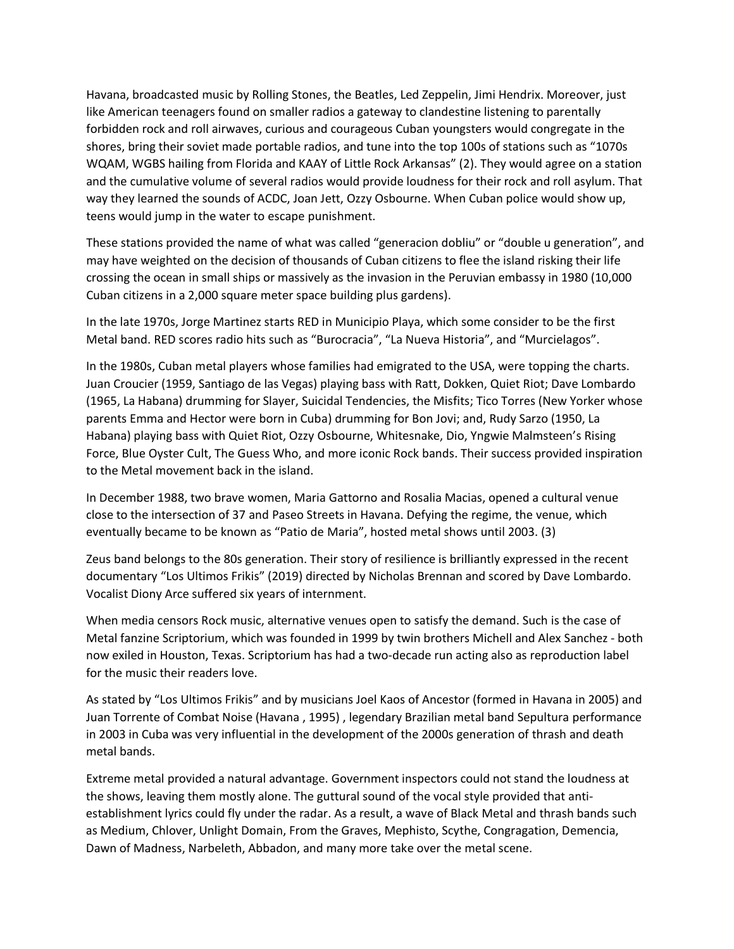Havana, broadcasted music by Rolling Stones, the Beatles, Led Zeppelin, Jimi Hendrix. Moreover, just like American teenagers found on smaller radios a gateway to clandestine listening to parentally forbidden rock and roll airwaves, curious and courageous Cuban youngsters would congregate in the shores, bring their soviet made portable radios, and tune into the top 100s of stations such as "1070s WQAM, WGBS hailing from Florida and KAAY of Little Rock Arkansas" (2). They would agree on a station and the cumulative volume of several radios would provide loudness for their rock and roll asylum. That way they learned the sounds of ACDC, Joan Jett, Ozzy Osbourne. When Cuban police would show up, teens would jump in the water to escape punishment.

These stations provided the name of what was called "generacion dobliu" or "double u generation", and may have weighted on the decision of thousands of Cuban citizens to flee the island risking their life crossing the ocean in small ships or massively as the invasion in the Peruvian embassy in 1980 (10,000 Cuban citizens in a 2,000 square meter space building plus gardens).

In the late 1970s, Jorge Martinez starts RED in Municipio Playa, which some consider to be the first Metal band. RED scores radio hits such as "Burocracia", "La Nueva Historia", and "Murcielagos".

In the 1980s, Cuban metal players whose families had emigrated to the USA, were topping the charts. Juan Croucier (1959, Santiago de las Vegas) playing bass with Ratt, Dokken, Quiet Riot; Dave Lombardo (1965, La Habana) drumming for Slayer, Suicidal Tendencies, the Misfits; Tico Torres (New Yorker whose parents Emma and Hector were born in Cuba) drumming for Bon Jovi; and, Rudy Sarzo (1950, La Habana) playing bass with Quiet Riot, Ozzy Osbourne, Whitesnake, Dio, Yngwie Malmsteen's Rising Force, Blue Oyster Cult, The Guess Who, and more iconic Rock bands. Their success provided inspiration to the Metal movement back in the island.

In December 1988, two brave women, Maria Gattorno and Rosalia Macias, opened a cultural venue close to the intersection of 37 and Paseo Streets in Havana. Defying the regime, the venue, which eventually became to be known as "Patio de Maria", hosted metal shows until 2003. (3)

Zeus band belongs to the 80s generation. Their story of resilience is brilliantly expressed in the recent documentary "Los Ultimos Frikis" (2019) directed by Nicholas Brennan and scored by Dave Lombardo. Vocalist Diony Arce suffered six years of internment.

When media censors Rock music, alternative venues open to satisfy the demand. Such is the case of Metal fanzine Scriptorium, which was founded in 1999 by twin brothers Michell and Alex Sanchez - both now exiled in Houston, Texas. Scriptorium has had a two-decade run acting also as reproduction label for the music their readers love.

As stated by "Los Ultimos Frikis" and by musicians Joel Kaos of Ancestor (formed in Havana in 2005) and Juan Torrente of Combat Noise (Havana , 1995) , legendary Brazilian metal band Sepultura performance in 2003 in Cuba was very influential in the development of the 2000s generation of thrash and death metal bands.

Extreme metal provided a natural advantage. Government inspectors could not stand the loudness at the shows, leaving them mostly alone. The guttural sound of the vocal style provided that antiestablishment lyrics could fly under the radar. As a result, a wave of Black Metal and thrash bands such as Medium, Chlover, Unlight Domain, From the Graves, Mephisto, Scythe, Congragation, Demencia, Dawn of Madness, Narbeleth, Abbadon, and many more take over the metal scene.